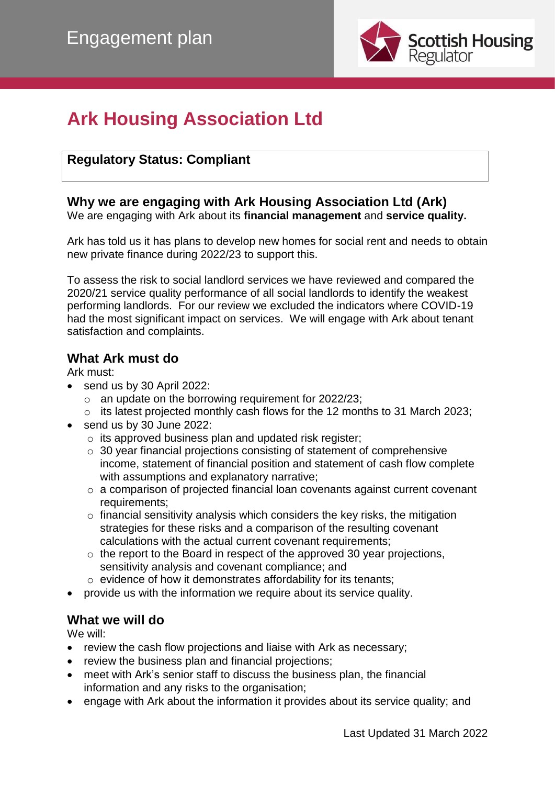

# **Ark Housing Association Ltd**

### **Regulatory Status: Compliant**

## **Why we are engaging with Ark Housing Association Ltd (Ark)**

We are engaging with Ark about its **financial management** and **service quality.**

Ark has told us it has plans to develop new homes for social rent and needs to obtain new private finance during 2022/23 to support this.

To assess the risk to social landlord services we have reviewed and compared the 2020/21 service quality performance of all social landlords to identify the weakest performing landlords. For our review we excluded the indicators where COVID-19 had the most significant impact on services. We will engage with Ark about tenant satisfaction and complaints.

#### **What Ark must do**

Ark must:

- send us by 30 April 2022:
	- $\circ$  an update on the borrowing requirement for 2022/23;
	- o its latest projected monthly cash flows for the 12 months to 31 March 2023;
- send us by 30 June 2022:
	- o its approved business plan and updated risk register;
	- o 30 year financial projections consisting of statement of comprehensive income, statement of financial position and statement of cash flow complete with assumptions and explanatory narrative;
	- o a comparison of projected financial loan covenants against current covenant requirements;
	- $\circ$  financial sensitivity analysis which considers the key risks, the mitigation strategies for these risks and a comparison of the resulting covenant calculations with the actual current covenant requirements;
	- $\circ$  the report to the Board in respect of the approved 30 year projections, sensitivity analysis and covenant compliance; and
	- o evidence of how it demonstrates affordability for its tenants;
- provide us with the information we require about its service quality.

#### **What we will do**

We will:

- review the cash flow projections and liaise with Ark as necessary;
- review the business plan and financial projections;
- meet with Ark's senior staff to discuss the business plan, the financial information and any risks to the organisation;
- engage with Ark about the information it provides about its service quality; and